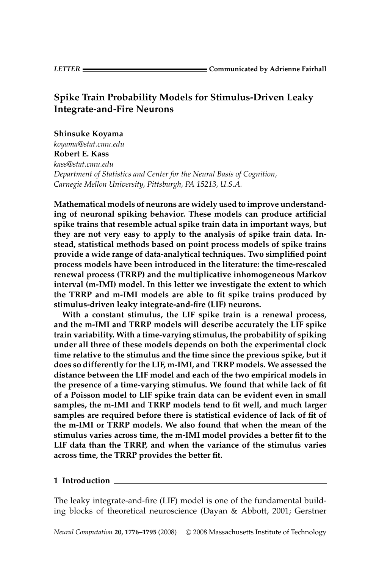# **Spike Train Probability Models for Stimulus-Driven Leaky Integrate-and-Fire Neurons**

## **Shinsuke Koyama**

*koyama@stat.cmu.edu* **Robert E. Kass** *kass@stat.cmu.edu Department of Statistics and Center for the Neural Basis of Cognition, Carnegie Mellon University, Pittsburgh, PA 15213, U.S.A.*

**Mathematical models of neurons are widely used to improve understanding of neuronal spiking behavior. These models can produce artificial spike trains that resemble actual spike train data in important ways, but they are not very easy to apply to the analysis of spike train data. Instead, statistical methods based on point process models of spike trains provide a wide range of data-analytical techniques. Two simplified point process models have been introduced in the literature: the time-rescaled renewal process (TRRP) and the multiplicative inhomogeneous Markov interval (m-IMI) model. In this letter we investigate the extent to which the TRRP and m-IMI models are able to fit spike trains produced by stimulus-driven leaky integrate-and-fire (LIF) neurons.**

**With a constant stimulus, the LIF spike train is a renewal process, and the m-IMI and TRRP models will describe accurately the LIF spike train variability. With a time-varying stimulus, the probability of spiking under all three of these models depends on both the experimental clock time relative to the stimulus and the time since the previous spike, but it does so differently for the LIF, m-IMI, and TRRP models. We assessed the distance between the LIF model and each of the two empirical models in the presence of a time-varying stimulus. We found that while lack of fit of a Poisson model to LIF spike train data can be evident even in small samples, the m-IMI and TRRP models tend to fit well, and much larger samples are required before there is statistical evidence of lack of fit of the m-IMI or TRRP models. We also found that when the mean of the stimulus varies across time, the m-IMI model provides a better fit to the LIF data than the TRRP, and when the variance of the stimulus varies across time, the TRRP provides the better fit.**

## **1 Introduction**

The leaky integrate-and-fire (LIF) model is one of the fundamental building blocks of theoretical neuroscience (Dayan & Abbott, 2001; Gerstner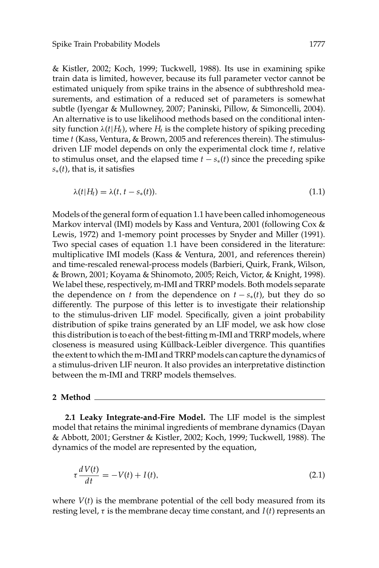& Kistler, 2002; Koch, 1999; Tuckwell, 1988). Its use in examining spike train data is limited, however, because its full parameter vector cannot be estimated uniquely from spike trains in the absence of subthreshold measurements, and estimation of a reduced set of parameters is somewhat subtle (Iyengar & Mullowney, 2007; Paninski, Pillow, & Simoncelli, 2004). An alternative is to use likelihood methods based on the conditional intensity function  $\lambda(t|H_t)$ , where  $H_t$  is the complete history of spiking preceding time *t* (Kass, Ventura, & Brown, 2005 and references therein). The stimulusdriven LIF model depends on only the experimental clock time *t*, relative to stimulus onset, and the elapsed time  $t - s_*(t)$  since the preceding spike *s*∗(*t*), that is, it satisfies

$$
\lambda(t|H_t) = \lambda(t, t - s_*(t)). \tag{1.1}
$$

Models of the general form of equation 1.1 have been called inhomogeneous Markov interval (IMI) models by Kass and Ventura, 2001 (following Cox & Lewis, 1972) and 1-memory point processes by Snyder and Miller (1991). Two special cases of equation 1.1 have been considered in the literature: multiplicative IMI models (Kass & Ventura, 2001, and references therein) and time-rescaled renewal-process models (Barbieri, Quirk, Frank, Wilson, & Brown, 2001; Koyama & Shinomoto, 2005; Reich, Victor, & Knight, 1998). We label these, respectively, m-IMI and TRRP models. Both models separate the dependence on *t* from the dependence on  $t - s_*(t)$ , but they do so differently. The purpose of this letter is to investigate their relationship to the stimulus-driven LIF model. Specifically, given a joint probability distribution of spike trains generated by an LIF model, we ask how close this distribution is to each of the best-fitting m-IMI and TRRP models, where closeness is measured using Küllback-Leibler divergence. This quantifies the extent to which the m-IMI and TRRP models can capture the dynamics of a stimulus-driven LIF neuron. It also provides an interpretative distinction between the m-IMI and TRRP models themselves.

#### **2 Method**

**2.1 Leaky Integrate-and-Fire Model.** The LIF model is the simplest model that retains the minimal ingredients of membrane dynamics (Dayan & Abbott, 2001; Gerstner & Kistler, 2002; Koch, 1999; Tuckwell, 1988). The dynamics of the model are represented by the equation,

$$
\tau \frac{dV(t)}{dt} = -V(t) + I(t),\tag{2.1}
$$

where  $V(t)$  is the membrane potential of the cell body measured from its resting level, τ is the membrane decay time constant, and *I*(*t*) represents an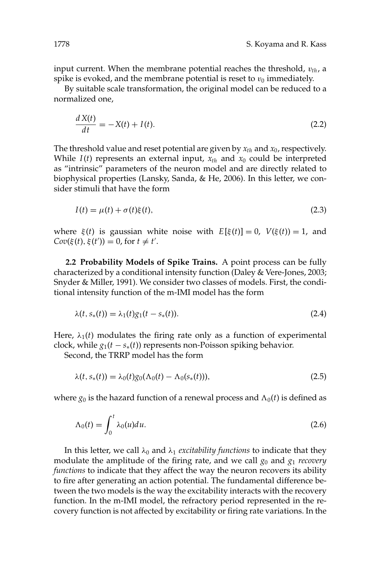input current. When the membrane potential reaches the threshold,  $v_{th}$ , a spike is evoked, and the membrane potential is reset to  $v_0$  immediately.

By suitable scale transformation, the original model can be reduced to a normalized one,

$$
\frac{dX(t)}{dt} = -X(t) + I(t). \tag{2.2}
$$

The threshold value and reset potential are given by *xth* and *x*0, respectively. While  $I(t)$  represents an external input,  $x_{th}$  and  $x_0$  could be interpreted as "intrinsic" parameters of the neuron model and are directly related to biophysical properties (Lansky, Sanda, & He, 2006). In this letter, we consider stimuli that have the form

$$
I(t) = \mu(t) + \sigma(t)\xi(t),\tag{2.3}
$$

where  $\xi(t)$  is gaussian white noise with  $E[\xi(t)] = 0$ ,  $V(\xi(t)) = 1$ , and  $Cov(\xi(t), \xi(t')) = 0$ , for  $t \neq t'$ .

**2.2 Probability Models of Spike Trains.** A point process can be fully characterized by a conditional intensity function (Daley & Vere-Jones, 2003; Snyder & Miller, 1991). We consider two classes of models. First, the conditional intensity function of the m-IMI model has the form

$$
\lambda(t, s_*(t)) = \lambda_1(t)g_1(t - s_*(t)).
$$
\n(2.4)

Here,  $\lambda_1(t)$  modulates the firing rate only as a function of experimental clock, while  $g_1(t - s_*(t))$  represents non-Poisson spiking behavior.

Second, the TRRP model has the form

$$
\lambda(t, s_*(t)) = \lambda_0(t) g_0(\Lambda_0(t) - \Lambda_0(s_*(t))), \qquad (2.5)
$$

where  $g_0$  is the hazard function of a renewal process and  $\Lambda_0(t)$  is defined as

$$
\Lambda_0(t) = \int_0^t \lambda_0(u) du.
$$
\n(2.6)

In this letter, we call  $\lambda_0$  and  $\lambda_1$  *excitability functions* to indicate that they modulate the amplitude of the firing rate, and we call  $g_0$  and  $g_1$  *recovery functions* to indicate that they affect the way the neuron recovers its ability to fire after generating an action potential. The fundamental difference between the two models is the way the excitability interacts with the recovery function. In the m-IMI model, the refractory period represented in the recovery function is not affected by excitability or firing rate variations. In the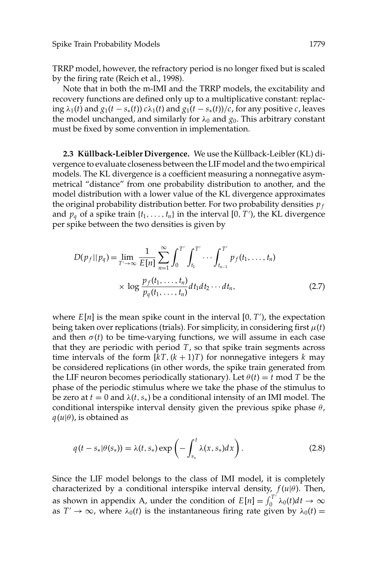TRRP model, however, the refractory period is no longer fixed but is scaled by the firing rate (Reich et al., 1998).

Note that in both the m-IMI and the TRRP models, the excitability and recovery functions are defined only up to a multiplicative constant: replacing  $\lambda_1(t)$  and  $g_1(t - s_*(t))$   $c\lambda_1(t)$  and  $g_1(t - s_*(t))/c$ , for any positive *c*, leaves the model unchanged, and similarly for  $\lambda_0$  and  $g_0$ . This arbitrary constant must be fixed by some convention in implementation.

2.3 Küllback-Leibler Divergence. We use the Küllback-Leibler (KL) divergence to evaluate closeness between the LIF model and the two empirical models. The KL divergence is a coefficient measuring a nonnegative asymmetrical "distance" from one probability distribution to another, and the model distribution with a lower value of the KL divergence approximates the original probability distribution better. For two probability densities *p <sup>f</sup>* and  $p_q$  of a spike train  $\{t_1, \ldots, t_n\}$  in the interval  $[0, T')$ , the KL divergence per spike between the two densities is given by

$$
D(p_f || p_q) = \lim_{T' \to \infty} \frac{1}{E[n]} \sum_{n=1}^{\infty} \int_0^{T'} \int_{t_1}^{T'} \cdots \int_{t_{n-1}}^{T'} p_f(t_1, \dots, t_n) \times \log \frac{p_f(t_1, \dots, t_n)}{p_q(t_1, \dots, t_n)} dt_1 dt_2 \cdots dt_n,
$$
\n(2.7)

where  $E[n]$  is the mean spike count in the interval  $[0, T')$ , the expectation being taken over replications (trials). For simplicity, in considering first  $\mu(t)$ and then  $\sigma(t)$  to be time-varying functions, we will assume in each case that they are periodic with period *T*, so that spike train segments across time intervals of the form  $[kT, (k+1)T)$  for nonnegative integers *k* may be considered replications (in other words, the spike train generated from the LIF neuron becomes periodically stationary). Let  $\theta(t) = t \text{ mod } T$  be the phase of the periodic stimulus where we take the phase of the stimulus to be zero at  $t = 0$  and  $\lambda(t, s_*)$  be a conditional intensity of an IMI model. The conditional interspike interval density given the previous spike phase  $\theta$ ,  $q(u|\theta)$ , is obtained as

$$
q(t - s_*|\theta(s_*)) = \lambda(t, s_*) \exp\left(-\int_{s_*}^t \lambda(x, s_*) dx\right).
$$
 (2.8)

Since the LIF model belongs to the class of IMI model, it is completely characterized by a conditional interspike interval density,  $f(u|\theta)$ . Then, as shown in appendix A, under the condition of  $E[n] = \int_0^{T'} \lambda_0(t) dt \to \infty$ as  $T' \rightarrow \infty$ , where  $\lambda_0(t)$  is the instantaneous firing rate given by  $\lambda_0(t) =$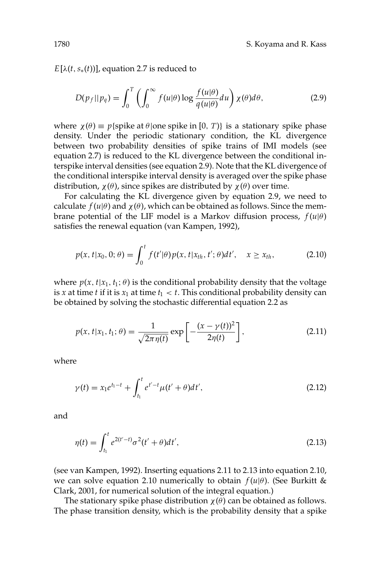$E[\lambda(t, s_*(t))]$ , equation 2.7 is reduced to

$$
D(p_f||p_q) = \int_0^T \left(\int_0^\infty f(u|\theta) \log \frac{f(u|\theta)}{q(u|\theta)} du\right) \chi(\theta) d\theta,\tag{2.9}
$$

where  $\chi(\theta) \equiv p\{\text{spike at } \theta | \text{one spike in } [0, T)\}\$  is a stationary spike phase density. Under the periodic stationary condition, the KL divergence between two probability densities of spike trains of IMI models (see equation 2.7) is reduced to the KL divergence between the conditional interspike interval densities (see equation 2.9). Note that the KL divergence of the conditional interspike interval density is averaged over the spike phase distribution,  $\chi$ (θ), since spikes are distributed by  $\chi$ (θ) over time.

For calculating the KL divergence given by equation 2.9, we need to calculate  $f(u|\theta)$  and  $\chi(\theta)$ , which can be obtained as follows. Since the membrane potential of the LIF model is a Markov diffusion process,  $f(u|\theta)$ satisfies the renewal equation (van Kampen, 1992),

$$
p(x, t|x_0, 0; \theta) = \int_0^t f(t'|\theta) p(x, t|x_{th}, t'; \theta) dt', \quad x \ge x_{th},
$$
 (2.10)

where  $p(x, t|x_1, t_1; \theta)$  is the conditional probability density that the voltage is *x* at time *t* if it is  $x_1$  at time  $t_1 < t$ . This conditional probability density can be obtained by solving the stochastic differential equation 2.2 as

$$
p(x, t|x_1, t_1; \theta) = \frac{1}{\sqrt{2\pi \eta(t)}} \exp\left[-\frac{(x - \gamma(t))^2}{2\eta(t)}\right],
$$
 (2.11)

where

$$
\gamma(t) = x_1 e^{t_1 - t} + \int_{t_1}^t e^{t' - t} \mu(t' + \theta) dt',
$$
\n(2.12)

and

$$
\eta(t) = \int_{t_1}^t e^{2(t'-t)} \sigma^2(t'+\theta) dt',
$$
\n(2.13)

(see van Kampen, 1992). Inserting equations 2.11 to 2.13 into equation 2.10, we can solve equation 2.10 numerically to obtain  $f(u|\theta)$ . (See Burkitt & Clark, 2001, for numerical solution of the integral equation.)

The stationary spike phase distribution  $\chi(\theta)$  can be obtained as follows. The phase transition density, which is the probability density that a spike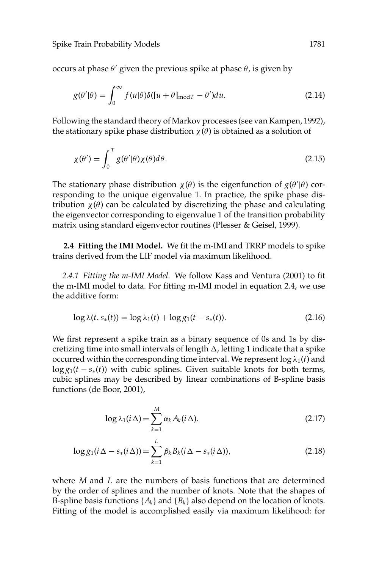occurs at phase  $\theta'$  given the previous spike at phase  $\theta$ , is given by

$$
g(\theta'|\theta) = \int_0^\infty f(u|\theta)\delta([u+\theta]_{\text{mod}T} - \theta')du.
$$
 (2.14)

Following the standard theory of Markov processes (see van Kampen, 1992), the stationary spike phase distribution  $\chi(\theta)$  is obtained as a solution of

$$
\chi(\theta') = \int_0^T g(\theta'|\theta) \chi(\theta) d\theta.
$$
\n(2.15)

The stationary phase distribution  $\chi(\theta)$  is the eigenfunction of  $g(\theta'|\theta)$  corresponding to the unique eigenvalue 1. In practice, the spike phase distribution  $χ(θ)$  can be calculated by discretizing the phase and calculating the eigenvector corresponding to eigenvalue 1 of the transition probability matrix using standard eigenvector routines (Plesser & Geisel, 1999).

**2.4 Fitting the IMI Model.** We fit the m-IMI and TRRP models to spike trains derived from the LIF model via maximum likelihood.

*2.4.1 Fitting the m-IMI Model.* We follow Kass and Ventura (2001) to fit the m-IMI model to data. For fitting m-IMI model in equation 2.4, we use the additive form:

$$
\log \lambda(t, s_*(t)) = \log \lambda_1(t) + \log g_1(t - s_*(t)).
$$
\n(2.16)

We first represent a spike train as a binary sequence of 0s and 1s by discretizing time into small intervals of length  $\Delta$ , letting 1 indicate that a spike occurred within the corresponding time interval. We represent  $\log \lambda_1(t)$  and  $\log g_1(t - s_*(t))$  with cubic splines. Given suitable knots for both terms, cubic splines may be described by linear combinations of B-spline basis functions (de Boor, 2001),

$$
\log \lambda_1(i\,\Delta) = \sum_{k=1}^{M} \alpha_k A_k(i\,\Delta),\tag{2.17}
$$

$$
\log g_1(i\Delta - s_*(i\Delta)) = \sum_{k=1}^{L} \beta_k B_k(i\Delta - s_*(i\Delta)),
$$
\n(2.18)

where *M* and *L* are the numbers of basis functions that are determined by the order of splines and the number of knots. Note that the shapes of B-spline basis functions  $\{A_k\}$  and  $\{B_k\}$  also depend on the location of knots. Fitting of the model is accomplished easily via maximum likelihood: for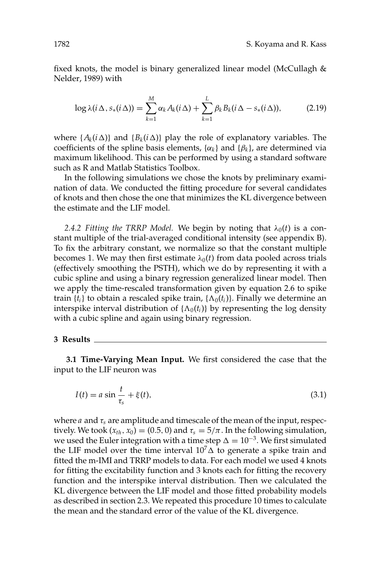fixed knots, the model is binary generalized linear model (McCullagh & Nelder, 1989) with

$$
\log \lambda(i\,\Delta,s_*(i\,\Delta)) = \sum_{k=1}^M \alpha_k A_k(i\,\Delta) + \sum_{k=1}^L \beta_k B_k(i\,\Delta - s_*(i\,\Delta)),\tag{2.19}
$$

where  $\{A_k(i\Delta)\}\$ and  $\{B_k(i\Delta)\}\$  play the role of explanatory variables. The coefficients of the spline basis elements,  $\{\alpha_k\}$  and  $\{\beta_k\}$ , are determined via maximum likelihood. This can be performed by using a standard software such as R and Matlab Statistics Toolbox.

In the following simulations we chose the knots by preliminary examination of data. We conducted the fitting procedure for several candidates of knots and then chose the one that minimizes the KL divergence between the estimate and the LIF model.

2.4.2 Fitting the TRRP Model. We begin by noting that  $\lambda_0(t)$  is a constant multiple of the trial-averaged conditional intensity (see appendix B). To fix the arbitrary constant, we normalize so that the constant multiple becomes 1. We may then first estimate  $\lambda_0(t)$  from data pooled across trials (effectively smoothing the PSTH), which we do by representing it with a cubic spline and using a binary regression generalized linear model. Then we apply the time-rescaled transformation given by equation 2.6 to spike train  $\{t_i\}$  to obtain a rescaled spike train,  $\{\Lambda_0(t_i)\}$ . Finally we determine an interspike interval distribution of  $\{\Lambda_0(t_i)\}$  by representing the log density with a cubic spline and again using binary regression.

#### **3 Results**

**3.1 Time-Varying Mean Input.** We first considered the case that the input to the LIF neuron was

$$
I(t) = a \sin \frac{t}{\tau_s} + \xi(t),\tag{3.1}
$$

where *a* and τ*<sup>s</sup>* are amplitude and timescale of the mean of the input, respectively. We took  $(x_{th}, x_0) = (0.5, 0)$  and  $\tau_s = 5/\pi$ . In the following simulation, we used the Euler integration with a time step  $\Delta = 10^{-3}$ . We first simulated the LIF model over the time interval  $10<sup>7</sup> \Delta$  to generate a spike train and fitted the m-IMI and TRRP models to data. For each model we used 4 knots for fitting the excitability function and 3 knots each for fitting the recovery function and the interspike interval distribution. Then we calculated the KL divergence between the LIF model and those fitted probability models as described in section 2.3. We repeated this procedure 10 times to calculate the mean and the standard error of the value of the KL divergence.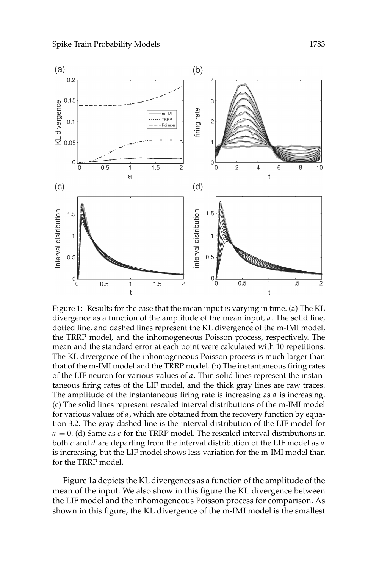

Figure 1: Results for the case that the mean input is varying in time. (a) The KL divergence as a function of the amplitude of the mean input, *a*. The solid line, dotted line, and dashed lines represent the KL divergence of the m-IMI model, the TRRP model, and the inhomogeneous Poisson process, respectively. The mean and the standard error at each point were calculated with 10 repetitions. The KL divergence of the inhomogeneous Poisson process is much larger than that of the m-IMI model and the TRRP model. (b) The instantaneous firing rates of the LIF neuron for various values of *a*. Thin solid lines represent the instantaneous firing rates of the LIF model, and the thick gray lines are raw traces. The amplitude of the instantaneous firing rate is increasing as *a* is increasing. (c) The solid lines represent rescaled interval distributions of the m-IMI model for various values of *a*, which are obtained from the recovery function by equation 3.2. The gray dashed line is the interval distribution of the LIF model for *a* = 0. (d) Same as *c* for the TRRP model. The rescaled interval distributions in both *c* and *d* are departing from the interval distribution of the LIF model as *a* is increasing, but the LIF model shows less variation for the m-IMI model than for the TRRP model.

Figure 1a depicts the KL divergences as a function of the amplitude of the mean of the input. We also show in this figure the KL divergence between the LIF model and the inhomogeneous Poisson process for comparison. As shown in this figure, the KL divergence of the m-IMI model is the smallest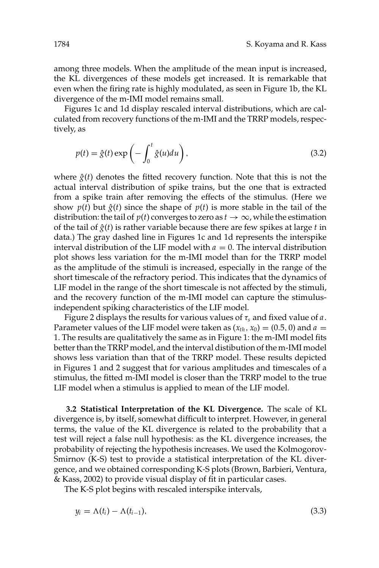among three models. When the amplitude of the mean input is increased, the KL divergences of these models get increased. It is remarkable that even when the firing rate is highly modulated, as seen in Figure 1b, the KL divergence of the m-IMI model remains small.

Figures 1c and 1d display rescaled interval distributions, which are calculated from recovery functions of the m-IMI and the TRRP models, respectively, as

$$
p(t) = \hat{g}(t) \exp\left(-\int_0^t \hat{g}(u) du\right),\tag{3.2}
$$

where  $\hat{g}(t)$  denotes the fitted recovery function. Note that this is not the actual interval distribution of spike trains, but the one that is extracted from a spike train after removing the effects of the stimulus. (Here we show  $p(t)$  but  $\hat{g}(t)$  since the shape of  $p(t)$  is more stable in the tail of the distribution: the tail of  $p(t)$  converges to zero as  $t \to \infty$ , while the estimation of the tail of  $\hat{g}(t)$  is rather variable because there are few spikes at large *t* in data.) The gray dashed line in Figures 1c and 1d represents the interspike interval distribution of the LIF model with  $a = 0$ . The interval distribution plot shows less variation for the m-IMI model than for the TRRP model as the amplitude of the stimuli is increased, especially in the range of the short timescale of the refractory period. This indicates that the dynamics of LIF model in the range of the short timescale is not affected by the stimuli, and the recovery function of the m-IMI model can capture the stimulusindependent spiking characteristics of the LIF model.

Figure 2 displays the results for various values of  $\tau_s$  and fixed value of  $a$ . Parameter values of the LIF model were taken as  $(x_{th}, x_0) = (0.5, 0)$  and  $a =$ 1. The results are qualitatively the same as in Figure 1: the m-IMI model fits better than the TRRP model, and the interval distibution of the m-IMI model shows less variation than that of the TRRP model. These results depicted in Figures 1 and 2 suggest that for various amplitudes and timescales of a stimulus, the fitted m-IMI model is closer than the TRRP model to the true LIF model when a stimulus is applied to mean of the LIF model.

**3.2 Statistical Interpretation of the KL Divergence.** The scale of KL divergence is, by itself, somewhat difficult to interpret. However, in general terms, the value of the KL divergence is related to the probability that a test will reject a false null hypothesis: as the KL divergence increases, the probability of rejecting the hypothesis increases. We used the Kolmogorov-Smirnov (K-S) test to provide a statistical interpretation of the KL divergence, and we obtained corresponding K-S plots (Brown, Barbieri, Ventura, & Kass, 2002) to provide visual display of fit in particular cases.

The K-S plot begins with rescaled interspike intervals,

$$
y_i = \Lambda(t_i) - \Lambda(t_{i-1}),\tag{3.3}
$$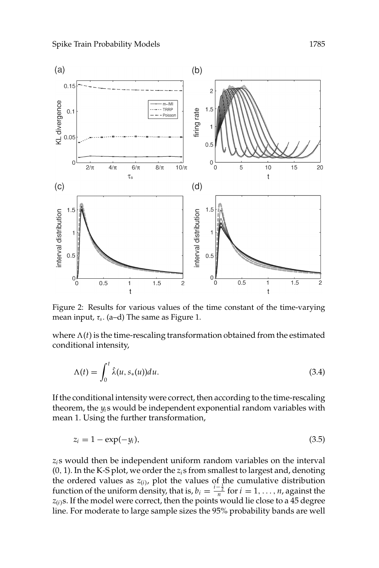

Figure 2: Results for various values of the time constant of the time-varying mean input, τ*s*. (a–d) The same as Figure 1.

where  $\Lambda(t)$  is the time-rescaling transformation obtained from the estimated conditional intensity,

$$
\Lambda(t) = \int_0^t \hat{\lambda}(u, s_*(u)) du.
$$
\n(3.4)

If the conditional intensity were correct, then according to the time-rescaling theorem, the *yi* s would be independent exponential random variables with mean 1. Using the further transformation,

$$
z_i = 1 - \exp(-y_i),\tag{3.5}
$$

*zi* s would then be independent uniform random variables on the interval (0, 1). In the K-S plot, we order the *zi* s from smallest to largest and, denoting the ordered values as *z*<sub>(*i*</sub>), plot the values of the cumulative distribution function of the uniform density, that is,  $b_i = \frac{i - \frac{1}{2}}{n}$  for  $i = 1, ..., n$ , against the  $z_{(i)}$ s. If the model were correct, then the points would lie close to a 45 degree line. For moderate to large sample sizes the 95% probability bands are well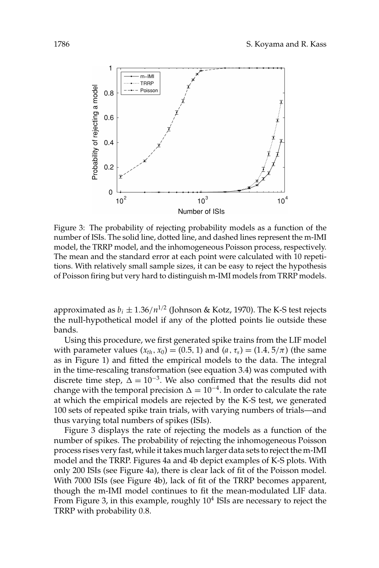

Figure 3: The probability of rejecting probability models as a function of the number of ISIs. The solid line, dotted line, and dashed lines represent the m-IMI model, the TRRP model, and the inhomogeneous Poisson process, respectively. The mean and the standard error at each point were calculated with 10 repetitions. With relatively small sample sizes, it can be easy to reject the hypothesis of Poisson firing but very hard to distinguish m-IMI models from TRRP models.

approximated as  $b_i \pm 1.36/n^{1/2}$  (Johnson & Kotz, 1970). The K-S test rejects the null-hypothetical model if any of the plotted points lie outside these bands.

Using this procedure, we first generated spike trains from the LIF model with parameter values  $(x_{th}, x_0) = (0.5, 1)$  and  $(a, \tau_s) = (1.4, 5/\pi)$  (the same as in Figure 1) and fitted the empirical models to the data. The integral in the time-rescaling transformation (see equation 3.4) was computed with discrete time step,  $\Delta = 10^{-3}$ . We also confirmed that the results did not change with the temporal precision  $\Delta = 10^{-4}$ . In order to calculate the rate at which the empirical models are rejected by the K-S test, we generated 100 sets of repeated spike train trials, with varying numbers of trials—and thus varying total numbers of spikes (ISIs).

Figure 3 displays the rate of rejecting the models as a function of the number of spikes. The probability of rejecting the inhomogeneous Poisson process rises very fast, while it takes much larger data sets to reject the m-IMI model and the TRRP. Figures 4a and 4b depict examples of K-S plots. With only 200 ISIs (see Figure 4a), there is clear lack of fit of the Poisson model. With 7000 ISIs (see Figure 4b), lack of fit of the TRRP becomes apparent, though the m-IMI model continues to fit the mean-modulated LIF data. From Figure 3, in this example, roughly  $10<sup>4</sup>$  ISIs are necessary to reject the TRRP with probability 0.8.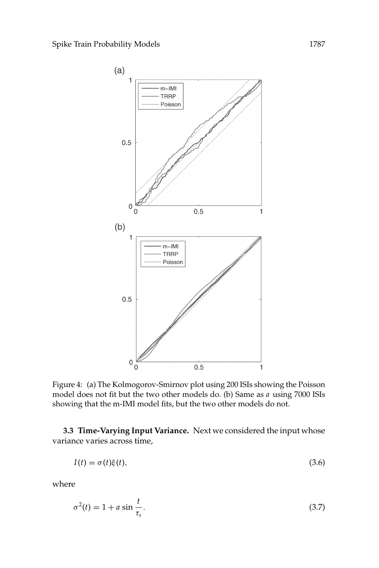

Figure 4: (a) The Kolmogorov-Smirnov plot using 200 ISIs showing the Poisson model does not fit but the two other models do. (b) Same as *a* using 7000 ISIs showing that the m-IMI model fits, but the two other models do not.

**3.3 Time-Varying Input Variance.** Next we considered the input whose variance varies across time,

$$
I(t) = \sigma(t)\xi(t),\tag{3.6}
$$

where

$$
\sigma^2(t) = 1 + a \sin \frac{t}{\tau_s}.\tag{3.7}
$$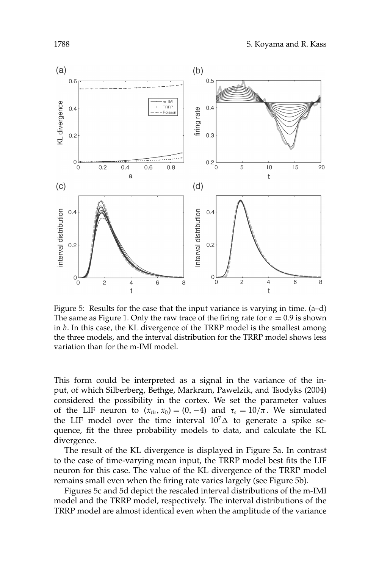

Figure 5: Results for the case that the input variance is varying in time. (a–d) The same as Figure 1. Only the raw trace of the firing rate for  $a = 0.9$  is shown in *b*. In this case, the KL divergence of the TRRP model is the smallest among the three models, and the interval distribution for the TRRP model shows less variation than for the m-IMI model.

This form could be interpreted as a signal in the variance of the input, of which Silberberg, Bethge, Markram, Pawelzik, and Tsodyks (2004) considered the possibility in the cortex. We set the parameter values of the LIF neuron to  $(x_{th}, x_0) = (0, -4)$  and  $\tau_s = 10/\pi$ . We simulated the LIF model over the time interval  $10<sup>7</sup> \Delta$  to generate a spike sequence, fit the three probability models to data, and calculate the KL divergence.

The result of the KL divergence is displayed in Figure 5a. In contrast to the case of time-varying mean input, the TRRP model best fits the LIF neuron for this case. The value of the KL divergence of the TRRP model remains small even when the firing rate varies largely (see Figure 5b).

Figures 5c and 5d depict the rescaled interval distributions of the m-IMI model and the TRRP model, respectively. The interval distributions of the TRRP model are almost identical even when the amplitude of the variance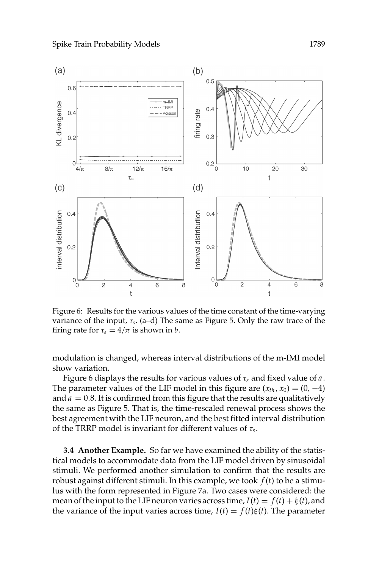

Figure 6: Results for the various values of the time constant of the time-varying variance of the input, τ*s*. (a–d) The same as Figure 5. Only the raw trace of the firing rate for  $\tau_s = 4/\pi$  is shown in *b*.

modulation is changed, whereas interval distributions of the m-IMI model show variation.

Figure 6 displays the results for various values of  $\tau_s$  and fixed value of a. The parameter values of the LIF model in this figure are  $(x<sub>th</sub>, x<sub>0</sub>) = (0, -4)$ and  $a = 0.8$ . It is confirmed from this figure that the results are qualitatively the same as Figure 5. That is, the time-rescaled renewal process shows the best agreement with the LIF neuron, and the best fitted interval distribution of the TRRP model is invariant for different values of τ*s*.

**3.4 Another Example.** So far we have examined the ability of the statistical models to accommodate data from the LIF model driven by sinusoidal stimuli. We performed another simulation to confirm that the results are robust against different stimuli. In this example, we took *f* (*t*) to be a stimulus with the form represented in Figure 7a. Two cases were considered: the mean of the input to the LIF neuron varies across time,  $I(t) = f(t) + \xi(t)$ , and the variance of the input varies across time,  $I(t) = f(t)\xi(t)$ . The parameter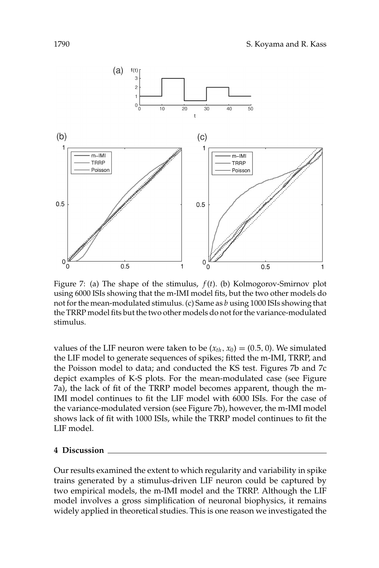

Figure 7: (a) The shape of the stimulus, *f* (*t*). (b) Kolmogorov-Smirnov plot using 6000 ISIs showing that the m-IMI model fits, but the two other models do not for the mean-modulated stimulus. (c) Same as *b* using 1000 ISIs showing that the TRRP model fits but the two other models do not for the variance-modulated stimulus.

values of the LIF neuron were taken to be  $(x<sub>th</sub>, x<sub>0</sub>) = (0.5, 0)$ . We simulated the LIF model to generate sequences of spikes; fitted the m-IMI, TRRP, and the Poisson model to data; and conducted the KS test. Figures 7b and 7c depict examples of K-S plots. For the mean-modulated case (see Figure 7a), the lack of fit of the TRRP model becomes apparent, though the m-IMI model continues to fit the LIF model with 6000 ISIs. For the case of the variance-modulated version (see Figure 7b), however, the m-IMI model shows lack of fit with 1000 ISIs, while the TRRP model continues to fit the LIF model.

## **4 Discussion**

Our results examined the extent to which regularity and variability in spike trains generated by a stimulus-driven LIF neuron could be captured by two empirical models, the m-IMI model and the TRRP. Although the LIF model involves a gross simplification of neuronal biophysics, it remains widely applied in theoretical studies. This is one reason we investigated the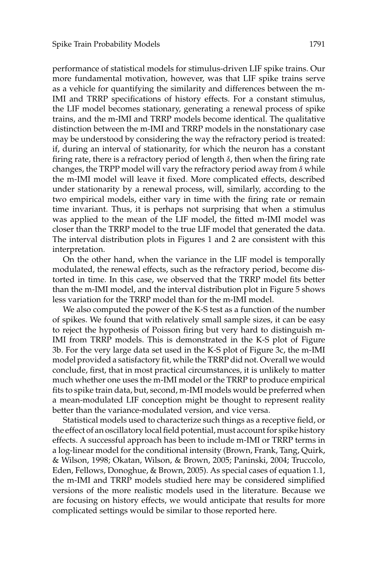performance of statistical models for stimulus-driven LIF spike trains. Our more fundamental motivation, however, was that LIF spike trains serve as a vehicle for quantifying the similarity and differences between the m-IMI and TRRP specifications of history effects. For a constant stimulus, the LIF model becomes stationary, generating a renewal process of spike trains, and the m-IMI and TRRP models become identical. The qualitative distinction between the m-IMI and TRRP models in the nonstationary case may be understood by considering the way the refractory period is treated: if, during an interval of stationarity, for which the neuron has a constant firing rate, there is a refractory period of length  $\delta$ , then when the firing rate changes, the TRPP model will vary the refractory period away from  $\delta$  while the m-IMI model will leave it fixed. More complicated effects, described under stationarity by a renewal process, will, similarly, according to the two empirical models, either vary in time with the firing rate or remain time invariant. Thus, it is perhaps not surprising that when a stimulus was applied to the mean of the LIF model, the fitted m-IMI model was closer than the TRRP model to the true LIF model that generated the data. The interval distribution plots in Figures 1 and 2 are consistent with this interpretation.

On the other hand, when the variance in the LIF model is temporally modulated, the renewal effects, such as the refractory period, become distorted in time. In this case, we observed that the TRRP model fits better than the m-IMI model, and the interval distribution plot in Figure 5 shows less variation for the TRRP model than for the m-IMI model.

We also computed the power of the K-S test as a function of the number of spikes. We found that with relatively small sample sizes, it can be easy to reject the hypothesis of Poisson firing but very hard to distinguish m-IMI from TRRP models. This is demonstrated in the K-S plot of Figure 3b. For the very large data set used in the K-S plot of Figure 3c, the m-IMI model provided a satisfactory fit, while the TRRP did not. Overall we would conclude, first, that in most practical circumstances, it is unlikely to matter much whether one uses the m-IMI model or the TRRP to produce empirical fits to spike train data, but, second, m-IMI models would be preferred when a mean-modulated LIF conception might be thought to represent reality better than the variance-modulated version, and vice versa.

Statistical models used to characterize such things as a receptive field, or the effect of an oscillatory local field potential, must account for spike history effects. A successful approach has been to include m-IMI or TRRP terms in a log-linear model for the conditional intensity (Brown, Frank, Tang, Quirk, & Wilson, 1998; Okatan, Wilson, & Brown, 2005; Paninski, 2004; Truccolo, Eden, Fellows, Donoghue, & Brown, 2005). As special cases of equation 1.1, the m-IMI and TRRP models studied here may be considered simplified versions of the more realistic models used in the literature. Because we are focusing on history effects, we would anticipate that results for more complicated settings would be similar to those reported here.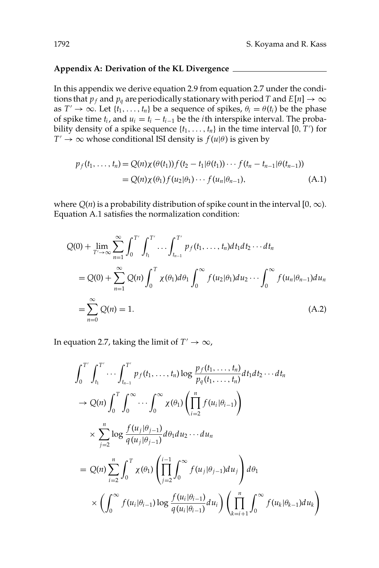## **Appendix A: Derivation of the KL Divergence**

In this appendix we derive equation 2.9 from equation 2.7 under the conditions that  $p_f$  and  $p_g$  are periodically stationary with period *T* and  $E[n] \to \infty$ as *T'*  $\rightarrow \infty$ . Let {*t*<sub>1</sub>, ..., *t*<sub>*n*</sub>} be a sequence of spikes,  $\theta_i = \theta(t_i)$  be the phase of spike time  $t_i$ , and  $u_i = t_i - t_{i-1}$  be the *i*th interspike interval. The probability density of a spike sequence  $\{t_1, \ldots, t_n\}$  in the time interval  $[0, T')$  for  $T' \rightarrow \infty$  whose conditional ISI density is  $f(u|\theta)$  is given by

$$
p_f(t_1, ..., t_n) = Q(n)\chi(\theta(t_1))f(t_2 - t_1|\theta(t_1)) \cdots f(t_n - t_{n-1}|\theta(t_{n-1}))
$$
  
=  $Q(n)\chi(\theta_1)f(u_2|\theta_1) \cdots f(u_n|\theta_{n-1}),$  (A.1)

where  $Q(n)$  is a probability distribution of spike count in the interval [0,  $\infty$ ). Equation A.1 satisfies the normalization condition:

$$
Q(0) + \lim_{T' \to \infty} \sum_{n=1}^{\infty} \int_0^{T'} \int_{t_1}^{T'} \dots \int_{t_{n-1}}^{T'} p_f(t_1, \dots, t_n) dt_1 dt_2 \dots dt_n
$$
  
=  $Q(0) + \sum_{n=1}^{\infty} Q(n) \int_0^{T} \chi(\theta_1) d\theta_1 \int_0^{\infty} f(u_2|\theta_1) du_2 \dots \int_0^{\infty} f(u_n|\theta_{n-1}) du_n$   
=  $\sum_{n=0}^{\infty} Q(n) = 1.$  (A.2)

In equation 2.7, taking the limit of  $T' \rightarrow \infty$ ,

$$
\int_{0}^{T'} \int_{t_1}^{T'} \cdots \int_{t_{n-1}}^{T'} p_f(t_1, \ldots, t_n) \log \frac{p_f(t_1, \ldots, t_n)}{p_q(t_1, \ldots, t_n)} dt_1 dt_2 \cdots dt_n
$$
  
\n
$$
\to Q(n) \int_{0}^{T} \int_{0}^{\infty} \cdots \int_{0}^{\infty} \chi(\theta_1) \left( \prod_{i=2}^{n} f(u_i | \theta_{i-1}) \right)
$$
  
\n
$$
\times \sum_{j=2}^{n} \log \frac{f(u_j | \theta_{j-1})}{q(u_j | \theta_{j-1})} d\theta_1 du_2 \cdots du_n
$$
  
\n
$$
= Q(n) \sum_{i=2}^{n} \int_{0}^{T} \chi(\theta_1) \left( \prod_{j=2}^{i-1} \int_{0}^{\infty} f(u_j | \theta_{j-1}) du_j \right) d\theta_1
$$
  
\n
$$
\times \left( \int_{0}^{\infty} f(u_i | \theta_{i-1}) \log \frac{f(u_i | \theta_{i-1})}{q(u_i | \theta_{i-1})} du_i \right) \left( \prod_{k=i+1}^{n} \int_{0}^{\infty} f(u_k | \theta_{k-1}) du_k \right)
$$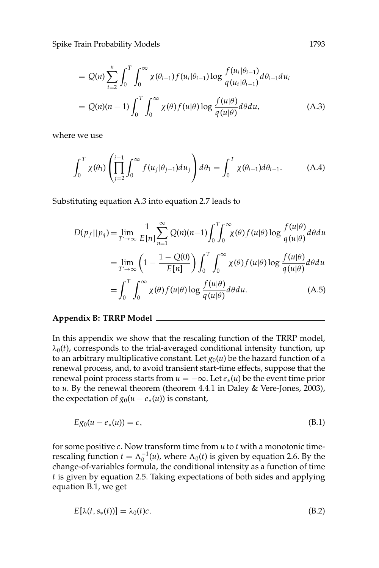Spike Train Probability Models 1793

$$
= Q(n) \sum_{i=2}^{n} \int_0^T \int_0^{\infty} \chi(\theta_{i-1}) f(u_i | \theta_{i-1}) \log \frac{f(u_i | \theta_{i-1})}{q(u_i | \theta_{i-1})} d\theta_{i-1} du_i
$$
  

$$
= Q(n)(n-1) \int_0^T \int_0^{\infty} \chi(\theta) f(u | \theta) \log \frac{f(u | \theta)}{q(u | \theta)} d\theta du,
$$
 (A.3)

where we use

$$
\int_0^T \chi(\theta_1) \left( \prod_{j=2}^{i-1} \int_0^\infty f(u_j|\theta_{j-1}) du_j \right) d\theta_1 = \int_0^T \chi(\theta_{i-1}) d\theta_{i-1}.
$$
 (A.4)

Substituting equation A.3 into equation 2.7 leads to

$$
D(p_f || p_q) = \lim_{T' \to \infty} \frac{1}{E[n]} \sum_{n=1}^{\infty} Q(n)(n-1) \int_0^T \int_0^{\infty} \chi(\theta) f(u|\theta) \log \frac{f(u|\theta)}{q(u|\theta)} d\theta du
$$
  
= 
$$
\lim_{T' \to \infty} \left(1 - \frac{1 - Q(0)}{E[n]} \right) \int_0^T \int_0^{\infty} \chi(\theta) f(u|\theta) \log \frac{f(u|\theta)}{q(u|\theta)} d\theta du
$$
  
= 
$$
\int_0^T \int_0^{\infty} \chi(\theta) f(u|\theta) \log \frac{f(u|\theta)}{q(u|\theta)} d\theta du.
$$
 (A.5)

### **Appendix B: TRRP Model**

In this appendix we show that the rescaling function of the TRRP model,  $\lambda_0(t)$ , corresponds to the trial-averaged conditional intensity function, up to an arbitrary multiplicative constant. Let  $g_0(u)$  be the hazard function of a renewal process, and, to avoid transient start-time effects, suppose that the renewal point process starts from  $u = -\infty$ . Let  $e_*(u)$  be the event time prior to *u*. By the renewal theorem (theorem 4.4.1 in Daley & Vere-Jones, 2003), the expectation of  $g_0(u - e_*(u))$  is constant,

$$
E g_0(u - e_*(u)) = c,\tag{B.1}
$$

for some positive *c*. Now transform time from *u* to *t* with a monotonic timerescaling function  $t = \Lambda_0^{-1}(u)$ , where  $\Lambda_0(t)$  is given by equation 2.6. By the change-of-variables formula, the conditional intensity as a function of time *t* is given by equation 2.5. Taking expectations of both sides and applying equation B.1, we get

$$
E[\lambda(t, s_*(t))] = \lambda_0(t)c. \tag{B.2}
$$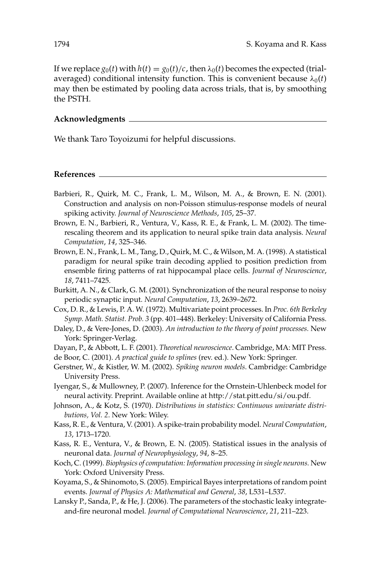If we replace  $g_0(t)$  with  $h(t) = g_0(t)/c$ , then  $\lambda_0(t)$  becomes the expected (trialaveraged) conditional intensity function. This is convenient because  $\lambda_0(t)$ may then be estimated by pooling data across trials, that is, by smoothing the PSTH.

## **Acknowledgments**

We thank Taro Toyoizumi for helpful discussions.

**References**

- Barbieri, R., Quirk, M. C., Frank, L. M., Wilson, M. A., & Brown, E. N. (2001). Construction and analysis on non-Poisson stimulus-response models of neural spiking activity. *Journal of Neuroscience Methods*, *105*, 25–37.
- Brown, E. N., Barbieri, R., Ventura, V., Kass, R. E., & Frank, L. M. (2002). The timerescaling theorem and its application to neural spike train data analysis. *Neural Computation*, *14*, 325–346.
- Brown, E. N., Frank, L. M., Tang, D., Quirk, M. C., & Wilson, M. A. (1998). A statistical paradigm for neural spike train decoding applied to position prediction from ensemble firing patterns of rat hippocampal place cells. *Journal of Neuroscience*, *18*, 7411–7425.
- Burkitt, A. N., & Clark, G. M. (2001). Synchronization of the neural response to noisy periodic synaptic input. *Neural Computation*, *13*, 2639–2672.
- Cox, D. R., & Lewis, P. A. W. (1972). Multivariate point processes. In *Proc. 6th Berkeley Symp. Math. Statist. Prob. 3* (pp. 401–448). Berkeley: University of California Press.
- Daley, D., & Vere-Jones, D. (2003). *An introduction to the theory of point processes.* New York: Springer-Verlag.
- Dayan, P., & Abbott, L. F. (2001). *Theoretical neuroscience*. Cambridge, MA: MIT Press. de Boor, C. (2001). *A practical guide to splines* (rev. ed.). New York: Springer.
- Gerstner, W., & Kistler, W. M. (2002). *Spiking neuron models*. Cambridge: Cambridge University Press.
- Iyengar, S., & Mullowney, P. (2007). Inference for the Ornstein-Uhlenbeck model for neural activity. Preprint. Available online at http://stat.pitt.edu/si/ou.pdf.
- Johnson, A., & Kotz, S. (1970). *Distributions in statistics: Continuous univariate distributions, Vol. 2*. New York: Wiley.
- Kass, R. E., & Ventura, V. (2001). A spike-train probability model. *Neural Computation*, *13*, 1713–1720.
- Kass, R. E., Ventura, V., & Brown, E. N. (2005). Statistical issues in the analysis of neuronal data. *Journal of Neurophysiology*, *94*, 8–25.
- Koch, C. (1999). *Biophysics of computation: Information processing in single neurons.* New York: Oxford University Press.
- Koyama, S., & Shinomoto, S. (2005). Empirical Bayes interpretations of random point events. *Journal of Physics A: Mathematical and General*, *38*, L531–L537.
- Lansky P., Sanda, P., & He, J. (2006). The parameters of the stochastic leaky integrateand-fire neuronal model. *Journal of Computational Neuroscience*, *21*, 211–223.